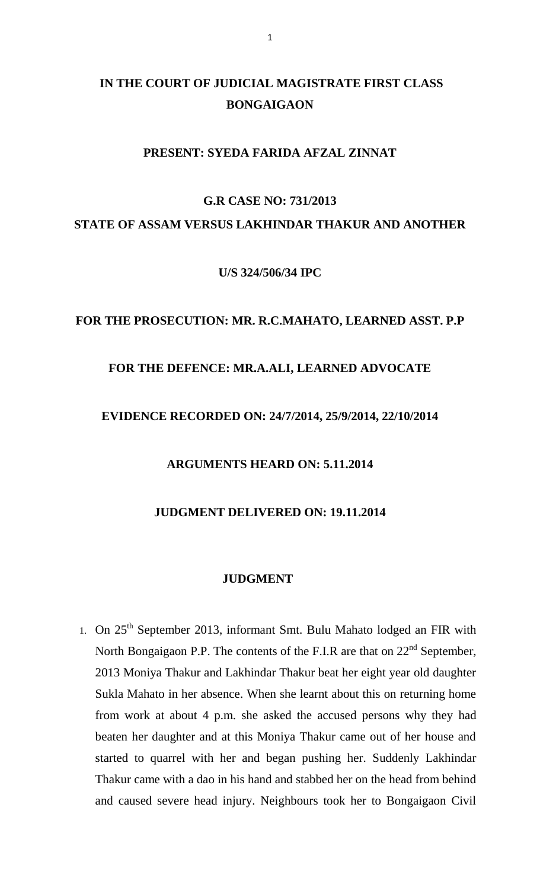# **IN THE COURT OF JUDICIAL MAGISTRATE FIRST CLASS BONGAIGAON**

# **PRESENT: SYEDA FARIDA AFZAL ZINNAT**

# **G.R CASE NO: 731/2013 STATE OF ASSAM VERSUS LAKHINDAR THAKUR AND ANOTHER**

**U/S 324/506/34 IPC**

#### **FOR THE PROSECUTION: MR. R.C.MAHATO, LEARNED ASST. P.P**

#### **FOR THE DEFENCE: MR.A.ALI, LEARNED ADVOCATE**

# **EVIDENCE RECORDED ON: 24/7/2014, 25/9/2014, 22/10/2014**

#### **ARGUMENTS HEARD ON: 5.11.2014**

# **JUDGMENT DELIVERED ON: 19.11.2014**

#### **JUDGMENT**

1. On  $25<sup>th</sup>$  September 2013, informant Smt. Bulu Mahato lodged an FIR with North Bongaigaon P.P. The contents of the F.I.R are that on  $22<sup>nd</sup>$  September, 2013 Moniya Thakur and Lakhindar Thakur beat her eight year old daughter Sukla Mahato in her absence. When she learnt about this on returning home from work at about 4 p.m. she asked the accused persons why they had beaten her daughter and at this Moniya Thakur came out of her house and started to quarrel with her and began pushing her. Suddenly Lakhindar Thakur came with a dao in his hand and stabbed her on the head from behind and caused severe head injury. Neighbours took her to Bongaigaon Civil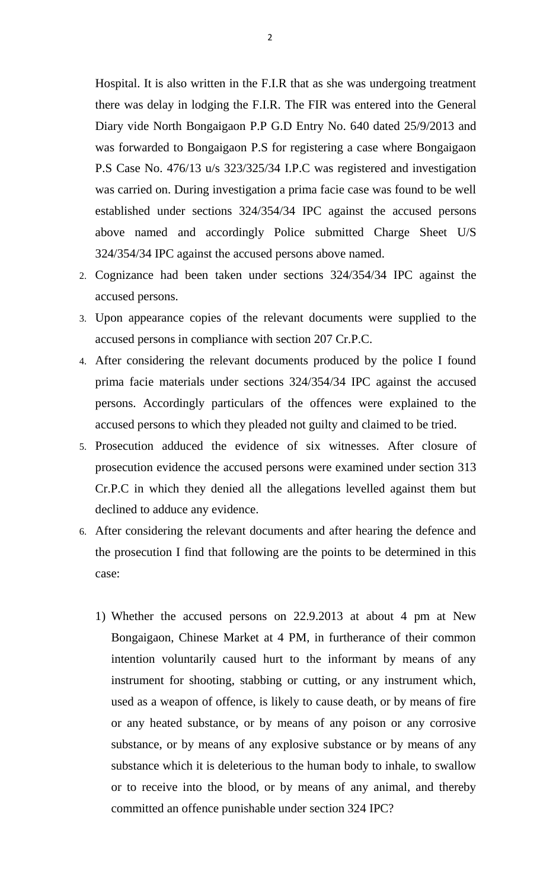Hospital. It is also written in the F.I.R that as she was undergoing treatment there was delay in lodging the F.I.R. The FIR was entered into the General Diary vide North Bongaigaon P.P G.D Entry No. 640 dated 25/9/2013 and was forwarded to Bongaigaon P.S for registering a case where Bongaigaon P.S Case No. 476/13 u/s 323/325/34 I.P.C was registered and investigation was carried on. During investigation a prima facie case was found to be well established under sections 324/354/34 IPC against the accused persons above named and accordingly Police submitted Charge Sheet U/S 324/354/34 IPC against the accused persons above named.

- 2. Cognizance had been taken under sections 324/354/34 IPC against the accused persons.
- 3. Upon appearance copies of the relevant documents were supplied to the accused persons in compliance with section 207 Cr.P.C.
- 4. After considering the relevant documents produced by the police I found prima facie materials under sections 324/354/34 IPC against the accused persons. Accordingly particulars of the offences were explained to the accused persons to which they pleaded not guilty and claimed to be tried.
- 5. Prosecution adduced the evidence of six witnesses. After closure of prosecution evidence the accused persons were examined under section 313 Cr.P.C in which they denied all the allegations levelled against them but declined to adduce any evidence.
- 6. After considering the relevant documents and after hearing the defence and the prosecution I find that following are the points to be determined in this case:
	- 1) Whether the accused persons on 22.9.2013 at about 4 pm at New Bongaigaon, Chinese Market at 4 PM, in furtherance of their common intention voluntarily caused hurt to the informant by means of any instrument for shooting, stabbing or cutting, or any instrument which, used as a weapon of offence, is likely to cause death, or by means of fire or any heated substance, or by means of any poison or any corrosive substance, or by means of any explosive substance or by means of any substance which it is deleterious to the human body to inhale, to swallow or to receive into the blood, or by means of any animal, and thereby committed an offence punishable under section 324 IPC?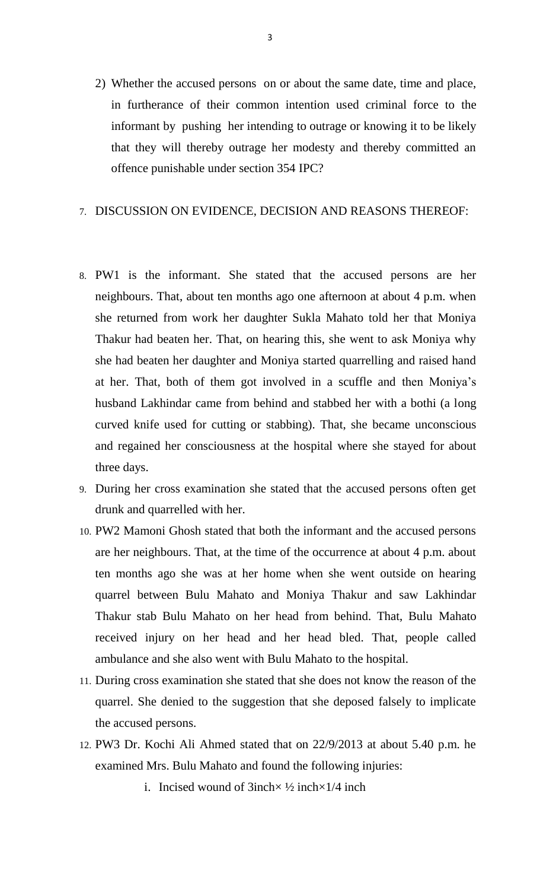2) Whether the accused persons on or about the same date, time and place, in furtherance of their common intention used criminal force to the informant by pushing her intending to outrage or knowing it to be likely that they will thereby outrage her modesty and thereby committed an offence punishable under section 354 IPC?

## 7. DISCUSSION ON EVIDENCE, DECISION AND REASONS THEREOF:

- 8. PW1 is the informant. She stated that the accused persons are her neighbours. That, about ten months ago one afternoon at about 4 p.m. when she returned from work her daughter Sukla Mahato told her that Moniya Thakur had beaten her. That, on hearing this, she went to ask Moniya why she had beaten her daughter and Moniya started quarrelling and raised hand at her. That, both of them got involved in a scuffle and then Moniya's husband Lakhindar came from behind and stabbed her with a bothi (a long curved knife used for cutting or stabbing). That, she became unconscious and regained her consciousness at the hospital where she stayed for about three days.
- 9. During her cross examination she stated that the accused persons often get drunk and quarrelled with her.
- 10. PW2 Mamoni Ghosh stated that both the informant and the accused persons are her neighbours. That, at the time of the occurrence at about 4 p.m. about ten months ago she was at her home when she went outside on hearing quarrel between Bulu Mahato and Moniya Thakur and saw Lakhindar Thakur stab Bulu Mahato on her head from behind. That, Bulu Mahato received injury on her head and her head bled. That, people called ambulance and she also went with Bulu Mahato to the hospital.
- 11. During cross examination she stated that she does not know the reason of the quarrel. She denied to the suggestion that she deposed falsely to implicate the accused persons.
- 12. PW3 Dr. Kochi Ali Ahmed stated that on 22/9/2013 at about 5.40 p.m. he examined Mrs. Bulu Mahato and found the following injuries:
	- i. Incised wound of  $3inch \times \frac{1}{2}$  inch $\times \frac{1}{4}$  inch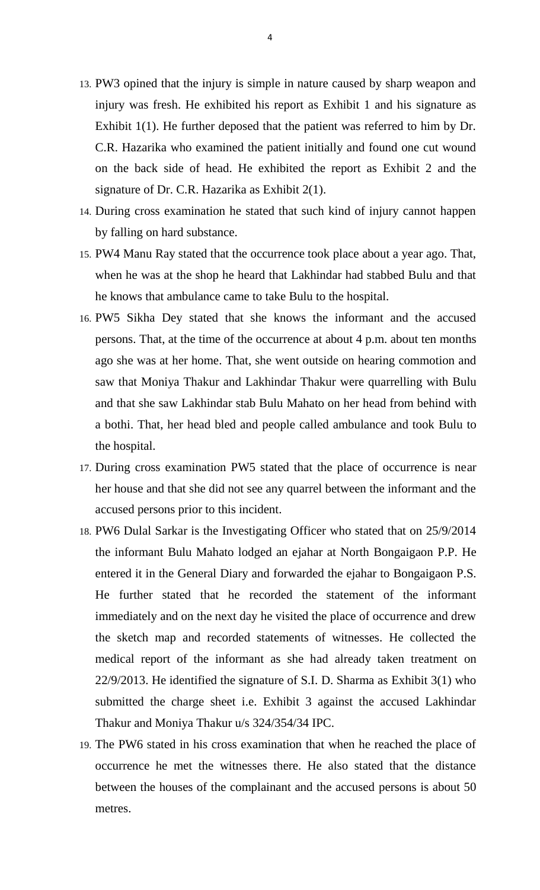- 13. PW3 opined that the injury is simple in nature caused by sharp weapon and injury was fresh. He exhibited his report as Exhibit 1 and his signature as Exhibit 1(1). He further deposed that the patient was referred to him by Dr. C.R. Hazarika who examined the patient initially and found one cut wound on the back side of head. He exhibited the report as Exhibit 2 and the signature of Dr. C.R. Hazarika as Exhibit 2(1).
- 14. During cross examination he stated that such kind of injury cannot happen by falling on hard substance.
- 15. PW4 Manu Ray stated that the occurrence took place about a year ago. That, when he was at the shop he heard that Lakhindar had stabbed Bulu and that he knows that ambulance came to take Bulu to the hospital.
- 16. PW5 Sikha Dey stated that she knows the informant and the accused persons. That, at the time of the occurrence at about 4 p.m. about ten months ago she was at her home. That, she went outside on hearing commotion and saw that Moniya Thakur and Lakhindar Thakur were quarrelling with Bulu and that she saw Lakhindar stab Bulu Mahato on her head from behind with a bothi. That, her head bled and people called ambulance and took Bulu to the hospital.
- 17. During cross examination PW5 stated that the place of occurrence is near her house and that she did not see any quarrel between the informant and the accused persons prior to this incident.
- 18. PW6 Dulal Sarkar is the Investigating Officer who stated that on 25/9/2014 the informant Bulu Mahato lodged an ejahar at North Bongaigaon P.P. He entered it in the General Diary and forwarded the ejahar to Bongaigaon P.S. He further stated that he recorded the statement of the informant immediately and on the next day he visited the place of occurrence and drew the sketch map and recorded statements of witnesses. He collected the medical report of the informant as she had already taken treatment on 22/9/2013. He identified the signature of S.I. D. Sharma as Exhibit 3(1) who submitted the charge sheet i.e. Exhibit 3 against the accused Lakhindar Thakur and Moniya Thakur u/s 324/354/34 IPC.
- 19. The PW6 stated in his cross examination that when he reached the place of occurrence he met the witnesses there. He also stated that the distance between the houses of the complainant and the accused persons is about 50 metres.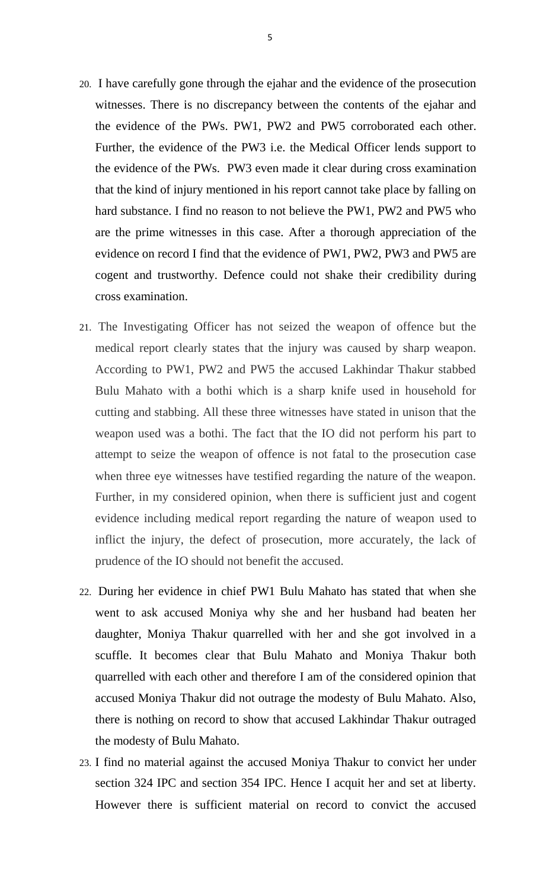- 20. I have carefully gone through the ejahar and the evidence of the prosecution witnesses. There is no discrepancy between the contents of the ejahar and the evidence of the PWs. PW1, PW2 and PW5 corroborated each other. Further, the evidence of the PW3 i.e. the Medical Officer lends support to the evidence of the PWs. PW3 even made it clear during cross examination that the kind of injury mentioned in his report cannot take place by falling on hard substance. I find no reason to not believe the PW1, PW2 and PW5 who are the prime witnesses in this case. After a thorough appreciation of the evidence on record I find that the evidence of PW1, PW2, PW3 and PW5 are cogent and trustworthy. Defence could not shake their credibility during cross examination.
- 21. The Investigating Officer has not seized the weapon of offence but the medical report clearly states that the injury was caused by sharp weapon. According to PW1, PW2 and PW5 the accused Lakhindar Thakur stabbed Bulu Mahato with a bothi which is a sharp knife used in household for cutting and stabbing. All these three witnesses have stated in unison that the weapon used was a bothi. The fact that the IO did not perform his part to attempt to seize the weapon of offence is not fatal to the prosecution case when three eye witnesses have testified regarding the nature of the weapon. Further, in my considered opinion, when there is sufficient just and cogent evidence including medical report regarding the nature of weapon used to inflict the injury, the defect of prosecution, more accurately, the lack of prudence of the IO should not benefit the accused.
- 22. During her evidence in chief PW1 Bulu Mahato has stated that when she went to ask accused Moniya why she and her husband had beaten her daughter, Moniya Thakur quarrelled with her and she got involved in a scuffle. It becomes clear that Bulu Mahato and Moniya Thakur both quarrelled with each other and therefore I am of the considered opinion that accused Moniya Thakur did not outrage the modesty of Bulu Mahato. Also, there is nothing on record to show that accused Lakhindar Thakur outraged the modesty of Bulu Mahato.
- 23. I find no material against the accused Moniya Thakur to convict her under section 324 IPC and section 354 IPC. Hence I acquit her and set at liberty. However there is sufficient material on record to convict the accused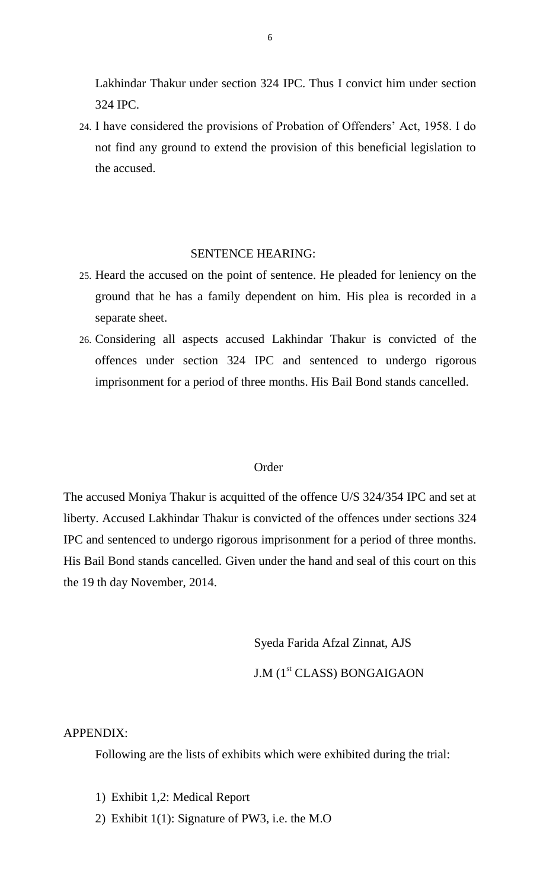Lakhindar Thakur under section 324 IPC. Thus I convict him under section 324 IPC.

24. I have considered the provisions of Probation of Offenders' Act, 1958. I do not find any ground to extend the provision of this beneficial legislation to the accused.

#### SENTENCE HEARING:

- 25. Heard the accused on the point of sentence. He pleaded for leniency on the ground that he has a family dependent on him. His plea is recorded in a separate sheet.
- 26. Considering all aspects accused Lakhindar Thakur is convicted of the offences under section 324 IPC and sentenced to undergo rigorous imprisonment for a period of three months. His Bail Bond stands cancelled.

#### **Order**

The accused Moniya Thakur is acquitted of the offence U/S 324/354 IPC and set at liberty. Accused Lakhindar Thakur is convicted of the offences under sections 324 IPC and sentenced to undergo rigorous imprisonment for a period of three months. His Bail Bond stands cancelled. Given under the hand and seal of this court on this the 19 th day November, 2014.

Syeda Farida Afzal Zinnat, AJS

# J.M (1<sup>st</sup> CLASS) BONGAIGAON

## APPENDIX:

Following are the lists of exhibits which were exhibited during the trial:

- 1) Exhibit 1,2: Medical Report
- 2) Exhibit 1(1): Signature of PW3, i.e. the M.O